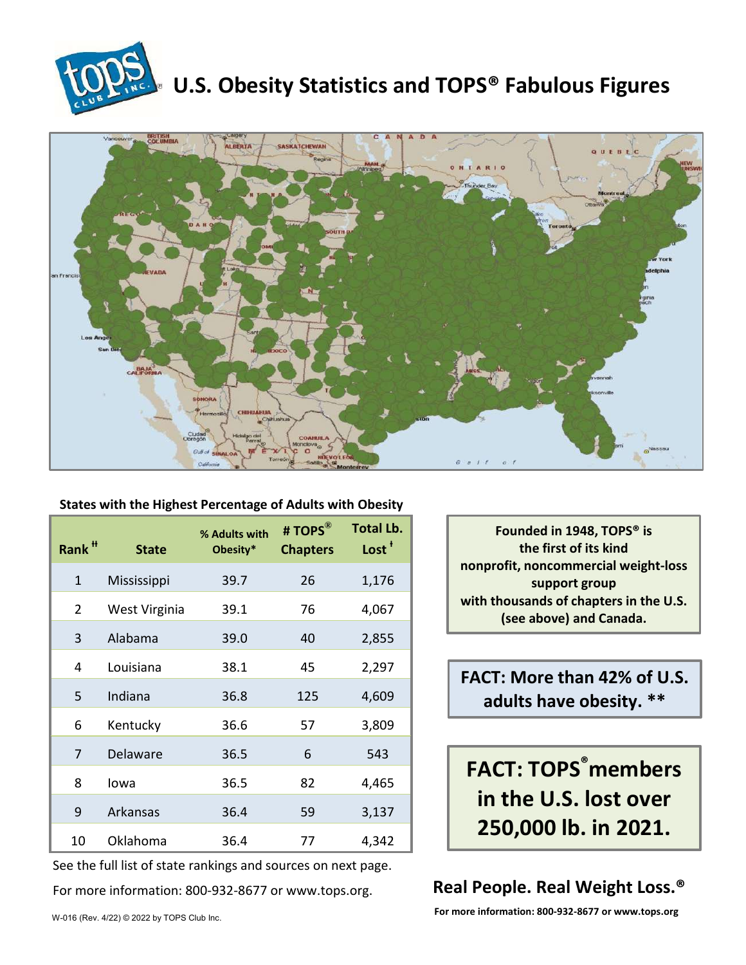

# **U.S. Obesity Statistics and TOPS® Fabulous Figures**



#### **States with the Highest Percentage of Adults with Obesity**

| Rank <sup>#</sup> | <b>State</b>  | % Adults with<br>Obesity* | # TOPS®<br><b>Chapters</b> | <b>Total Lb.</b><br>Lost <sup>+</sup> |
|-------------------|---------------|---------------------------|----------------------------|---------------------------------------|
| $\mathbf{1}$      | Mississippi   | 39.7                      | 26                         | 1,176                                 |
| $\overline{2}$    | West Virginia | 39.1                      | 76                         | 4,067                                 |
| 3                 | Alabama       | 39.0                      | 40                         | 2,855                                 |
| 4                 | Louisiana     | 38.1                      | 45                         | 2,297                                 |
| 5                 | Indiana       | 36.8                      | 125                        | 4,609                                 |
| 6                 | Kentucky      | 36.6                      | 57                         | 3,809                                 |
| 7                 | Delaware      | 36.5                      | 6                          | 543                                   |
| 8                 | lowa          | 36.5                      | 82                         | 4,465                                 |
| 9                 | Arkansas      | 36.4                      | 59                         | 3,137                                 |
| 10                | Oklahoma      | 36.4                      | 77                         | 4,342                                 |

See the full list of state rankings and sources on next page.

For more information: 800-932-8677 or www.tops.org.

**Founded in 1948, TOPS® is the first of its kind nonprofit, noncommercial weight-loss support group with thousands of chapters in the U.S. (see above) and Canada.**

**FACT: More than 42% of U.S. adults have obesity. \*\***

**FACT: TOPS® members in the U.S. lost over 250,000 lb. in 2021.**

### **Real People. Real Weight Loss.®**